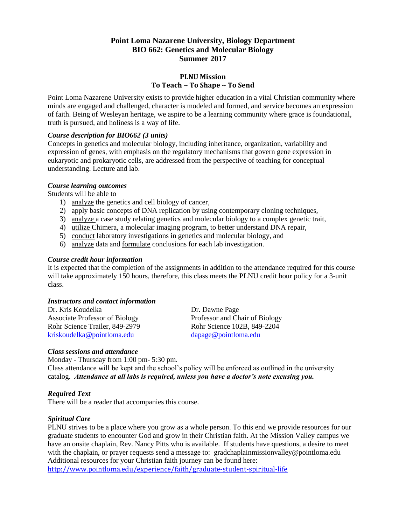### **Point Loma Nazarene University, Biology Department BIO 662: Genetics and Molecular Biology Summer 2017**

#### **PLNU Mission To Teach ~ To Shape ~ To Send**

Point Loma Nazarene University exists to provide higher education in a vital Christian community where minds are engaged and challenged, character is modeled and formed, and service becomes an expression of faith. Being of Wesleyan heritage, we aspire to be a learning community where grace is foundational, truth is pursued, and holiness is a way of life.

#### *Course description for BIO662 (3 units)*

Concepts in genetics and molecular biology, including inheritance, organization, variability and expression of genes, with emphasis on the regulatory mechanisms that govern gene expression in eukaryotic and prokaryotic cells, are addressed from the perspective of teaching for conceptual understanding. Lecture and lab.

#### *Course learning outcomes*

Students will be able to

- 1) analyze the genetics and cell biology of cancer,
- 2) apply basic concepts of DNA replication by using contemporary cloning techniques,
- 3) analyze a case study relating genetics and molecular biology to a complex genetic trait,
- 4) utilize Chimera, a molecular imaging program, to better understand DNA repair,
- 5) conduct laboratory investigations in genetics and molecular biology, and
- 6) analyze data and formulate conclusions for each lab investigation.

#### *Course credit hour information*

It is expected that the completion of the assignments in addition to the attendance required for this course will take approximately 150 hours, therefore, this class meets the PLNU credit hour policy for a 3-unit class.

#### *Instructors and contact information*

Dr. Kris Koudelka Dr. Dawne Page Associate Professor of Biology Professor and Chair of Biology Rohr Science Trailer, 849-2979<br>
kriskoudelka@pointloma.edu dapage@pointloma.edu dapage@pointloma.edu [kriskoudelka@pointloma.edu](mailto:kriskoudelka@pointloma.edu)

#### *Class sessions and attendance*

Monday - Thursday from 1:00 pm- 5:30 pm.

Class attendance will be kept and the school's policy will be enforced as outlined in the university catalog. *Attendance at all labs is required, unless you have a doctor's note excusing you.*

#### *Required Text*

There will be a reader that accompanies this course.

#### *Spiritual Care*

PLNU strives to be a place where you grow as a whole person. To this end we provide resources for our graduate students to encounter God and grow in their Christian faith. At the Mission Valley campus we have an onsite chaplain, Rev. Nancy Pitts who is available. If students have questions, a desire to meet with the chaplain, or prayer requests send a message to: gradchaplainmissionvalley@pointloma.edu Additional resources for your Christian faith journey can be found here:

<http://www.pointloma.edu/experience/faith/graduate-student-spiritual-life>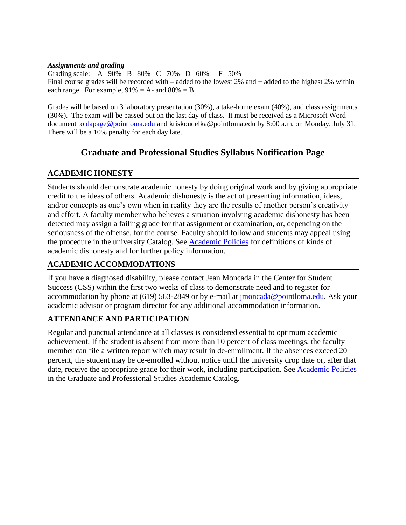#### *Assignments and grading*

Grading scale: A 90% B 80% C 70% D 60% F 50% Final course grades will be recorded with – added to the lowest 2% and + added to the highest 2% within each range. For example,  $91\% = A$ - and  $88\% = B +$ 

Grades will be based on 3 laboratory presentation (30%), a take-home exam (40%), and class assignments (30%). The exam will be passed out on the last day of class. It must be received as a Microsoft Word document to [dapage@pointloma.edu](mailto:dapage@pointloma.edu) and kriskoudelka@pointloma.edu by 8:00 a.m. on Monday, July 31. There will be a 10% penalty for each day late.

# **Graduate and Professional Studies Syllabus Notification Page**

## **ACADEMIC HONESTY**

Students should demonstrate academic honesty by doing original work and by giving appropriate credit to the ideas of others. Academic dishonesty is the act of presenting information, ideas, and/or concepts as one's own when in reality they are the results of another person's creativity and effort. A faculty member who believes a situation involving academic dishonesty has been detected may assign a failing grade for that assignment or examination, or, depending on the seriousness of the offense, for the course. Faculty should follow and students may appeal using the procedure in the university Catalog. See [Academic Policies](http://catalog.pointloma.edu/content.php?catoid=20&navoid=1403) for definitions of kinds of academic dishonesty and for further policy information.

## **ACADEMIC ACCOMMODATIONS**

If you have a diagnosed disability, please contact Jean Moncada in the Center for Student Success (CSS) within the first two weeks of class to demonstrate need and to register for accommodation by phone at (619) 563-2849 or by e-mail at [jmoncada@pointloma.edu.](mailto:jmoncada@pointloma.edu) Ask your academic advisor or program director for any additional accommodation information.

## **ATTENDANCE AND PARTICIPATION**

Regular and punctual attendance at all classes is considered essential to optimum academic achievement. If the student is absent from more than 10 percent of class meetings, the faculty member can file a written report which may result in de-enrollment. If the absences exceed 20 percent, the student may be de-enrolled without notice until the university drop date or, after that date, receive the appropriate grade for their work, including participation. See [Academic Policies](http://catalog.pointloma.edu/content.php?catoid=20&navoid=1403) in the Graduate and Professional Studies Academic Catalog.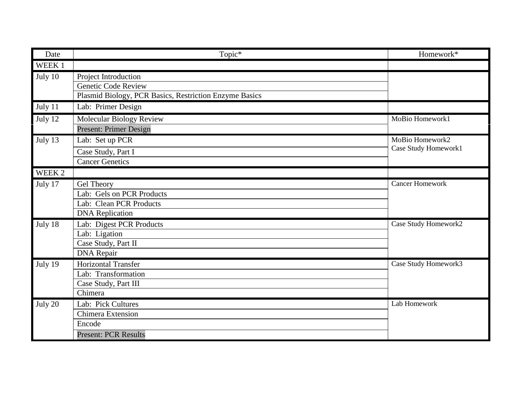| Date    | Topic*                                                                                                | Homework*                               |
|---------|-------------------------------------------------------------------------------------------------------|-----------------------------------------|
| WEEK 1  |                                                                                                       |                                         |
| July 10 | Project Introduction<br>Genetic Code Review<br>Plasmid Biology, PCR Basics, Restriction Enzyme Basics |                                         |
| July 11 | Lab: Primer Design                                                                                    |                                         |
| July 12 | Molecular Biology Review<br><b>Present: Primer Design</b>                                             | MoBio Homework1                         |
| July 13 | Lab: Set up PCR<br>Case Study, Part I<br><b>Cancer Genetics</b>                                       | MoBio Homework2<br>Case Study Homework1 |
| WEEK 2  |                                                                                                       |                                         |
| July 17 | Gel Theory<br>Lab: Gels on PCR Products<br>Lab: Clean PCR Products<br><b>DNA</b> Replication          | <b>Cancer Homework</b>                  |
| July 18 | Lab: Digest PCR Products<br>Lab: Ligation<br>Case Study, Part II<br><b>DNA</b> Repair                 | Case Study Homework2                    |
| July 19 | Horizontal Transfer<br>Lab: Transformation<br>Case Study, Part III<br>Chimera                         | Case Study Homework3                    |
| July 20 | Lab: Pick Cultures<br>Chimera Extension<br>Encode<br><b>Present: PCR Results</b>                      | Lab Homework                            |